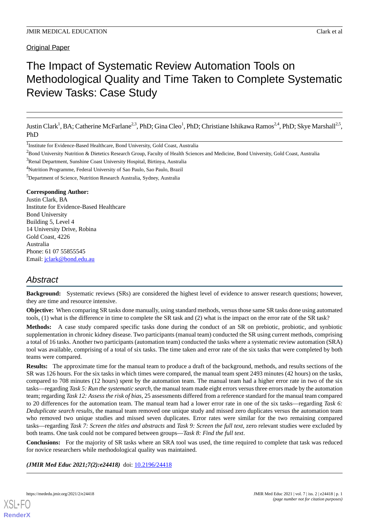**Original Paper** 

# The Impact of Systematic Review Automation Tools on Methodological Quality and Time Taken to Complete Systematic Review Tasks: Case Study

Justin Clark<sup>1</sup>, BA; Catherine McFarlane<sup>2,3</sup>, PhD; Gina Cleo<sup>1</sup>, PhD; Christiane Ishikawa Ramos<sup>2,4</sup>, PhD; Skye Marshall<sup>2,5</sup>, PhD

<sup>1</sup>Institute for Evidence-Based Healthcare, Bond University, Gold Coast, Australia

<sup>2</sup>Bond University Nutrition & Dietetics Research Group, Faculty of Health Sciences and Medicine, Bond University, Gold Coast, Australia

<sup>3</sup>Renal Department, Sunshine Coast University Hospital, Birtinya, Australia

<sup>4</sup>Nutrition Programme, Federal University of Sao Paulo, Sao Paulo, Brazil

<sup>5</sup>Department of Science, Nutrition Research Australia, Sydney, Australia

## **Corresponding Author:**

Justin Clark, BA Institute for Evidence-Based Healthcare Bond University Building 5, Level 4 14 University Drive, Robina Gold Coast, 4226 Australia Phone: 61 07 55855545 Email: [jclark@bond.edu.au](mailto:jclark@bond.edu.au)

# *Abstract*

**Background:** Systematic reviews (SRs) are considered the highest level of evidence to answer research questions; however, they are time and resource intensive.

**Objective:** When comparing SR tasks done manually, using standard methods, versus those same SR tasks done using automated tools, (1) what is the difference in time to complete the SR task and (2) what is the impact on the error rate of the SR task?

**Methods:** A case study compared specific tasks done during the conduct of an SR on prebiotic, probiotic, and synbiotic supplementation in chronic kidney disease. Two participants (manual team) conducted the SR using current methods, comprising a total of 16 tasks. Another two participants (automation team) conducted the tasks where a systematic review automation (SRA) tool was available, comprising of a total of six tasks. The time taken and error rate of the six tasks that were completed by both teams were compared.

**Results:** The approximate time for the manual team to produce a draft of the background, methods, and results sections of the SR was 126 hours. For the six tasks in which times were compared, the manual team spent 2493 minutes (42 hours) on the tasks, compared to 708 minutes (12 hours) spent by the automation team. The manual team had a higher error rate in two of the six tasks—regarding *Task 5: Run the systematic search*, the manual team made eight errors versus three errors made by the automation team; regarding *Task 12: Assess the risk of bias*, 25 assessments differed from a reference standard for the manual team compared to 20 differences for the automation team. The manual team had a lower error rate in one of the six tasks—regarding *Task 6: Deduplicate search results*, the manual team removed one unique study and missed zero duplicates versus the automation team who removed two unique studies and missed seven duplicates. Error rates were similar for the two remaining compared tasks—regarding *Task 7: Screen the titles and abstracts* and *Task 9: Screen the full text*, zero relevant studies were excluded by both teams. One task could not be compared between groups—*Task 8: Find the full text*.

**Conclusions:** For the majority of SR tasks where an SRA tool was used, the time required to complete that task was reduced for novice researchers while methodological quality was maintained.

*(JMIR Med Educ 2021;7(2):e24418)* doi: [10.2196/24418](http://dx.doi.org/10.2196/24418)

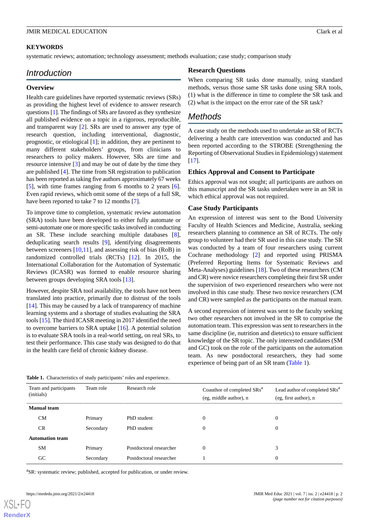# **KEYWORDS**

systematic reviews; automation; technology assessment; methods evaluation; case study; comparison study

# *Introduction*

## **Overview**

Health care guidelines have reported systematic reviews (SRs) as providing the highest level of evidence to answer research questions [[1\]](#page-9-0). The findings of SRs are favored as they synthesize all published evidence on a topic in a rigorous, reproducible, and transparent way [\[2](#page-9-1)]. SRs are used to answer any type of research question, including interventional, diagnostic, prognostic, or etiological [\[1](#page-9-0)]; in addition, they are pertinent to many different stakeholders' groups, from clinicians to researchers to policy makers. However, SRs are time and resource intensive [[3\]](#page-9-2) and may be out of date by the time they are published [[4](#page-9-3)]. The time from SR registration to publication has been reported as taking five authors approximately 67 weeks [[5\]](#page-9-4), with time frames ranging from 6 months to 2 years [[6\]](#page-9-5). Even rapid reviews, which omit some of the steps of a full SR, have been reported to take 7 to 12 months [[7\]](#page-9-6).

To improve time to completion, systematic review automation (SRA) tools have been developed to either fully automate or semi-automate one or more specific tasks involved in conducting an SR. These include searching multiple databases [[8\]](#page-9-7), deduplicating search results [[9\]](#page-9-8), identifying disagreements between screeners  $[10,11]$  $[10,11]$  $[10,11]$ , and assessing risk of bias (RoB) in randomized controlled trials (RCTs) [[12\]](#page-9-11). In 2015, the International Collaboration for the Automation of Systematic Reviews (ICASR) was formed to enable resource sharing between groups developing SRA tools [[13\]](#page-9-12).

However, despite SRA tool availability, the tools have not been translated into practice, primarily due to distrust of the tools  $[14]$  $[14]$ . This may be caused by a lack of transparency of machine learning systems and a shortage of studies evaluating the SRA tools [\[15\]](#page-9-14). The third ICASR meeting in 2017 identified the need to overcome barriers to SRA uptake [\[16](#page-9-15)]. A potential solution is to evaluate SRA tools in a real-world setting, on real SRs, to test their performance. This case study was designed to do that in the health care field of chronic kidney disease.

# **Research Questions**

When comparing SR tasks done manually, using standard methods, versus those same SR tasks done using SRA tools, (1) what is the difference in time to complete the SR task and (2) what is the impact on the error rate of the SR task?

# *Methods*

A case study on the methods used to undertake an SR of RCTs delivering a health care intervention was conducted and has been reported according to the STROBE (Strengthening the Reporting of Observational Studies in Epidemiology) statement [[17\]](#page-9-16).

## **Ethics Approval and Consent to Participate**

Ethics approval was not sought; all participants are authors on this manuscript and the SR tasks undertaken were in an SR in which ethical approval was not required.

## **Case Study Participants**

An expression of interest was sent to the Bond University Faculty of Health Sciences and Medicine, Australia, seeking researchers planning to commence an SR of RCTs. The only group to volunteer had their SR used in this case study. The SR was conducted by a team of four researchers using current Cochrane methodology [\[2](#page-9-1)] and reported using PRISMA (Preferred Reporting Items for Systematic Reviews and Meta-Analyses) guidelines [\[18](#page-9-17)]. Two of these researchers (CM and CR) were novice researchers completing their first SR under the supervision of two experienced researchers who were not involved in this case study. These two novice researchers (CM and CR) were sampled as the participants on the manual team.

A second expression of interest was sent to the faculty seeking two other researchers not involved in the SR to comprise the automation team. This expression was sent to researchers in the same discipline (ie, nutrition and dietetics) to ensure sufficient knowledge of the SR topic. The only interested candidates (SM and GC) took on the role of the participants on the automation team. As new postdoctoral researchers, they had some experience of being part of an SR team ([Table 1](#page-1-0)).

<span id="page-1-0"></span>

| <b>Table 1.</b> Characteristics of study participants' roles and experience. |  |
|------------------------------------------------------------------------------|--|
|------------------------------------------------------------------------------|--|

| Team and participants<br>(initials) | Team role | Research role           | Coauthor of completed SRs <sup>a</sup><br>(eg, middle author), n | Lead author of completed SRs <sup>a</sup><br>(eg, first author), n |
|-------------------------------------|-----------|-------------------------|------------------------------------------------------------------|--------------------------------------------------------------------|
| <b>Manual</b> team                  |           |                         |                                                                  |                                                                    |
| CM                                  | Primary   | PhD student             | 0                                                                | $\mathbf{0}$                                                       |
| <b>CR</b>                           | Secondary | PhD student             | 0                                                                | $\Omega$                                                           |
| <b>Automation team</b>              |           |                         |                                                                  |                                                                    |
| <b>SM</b>                           | Primary   | Postdoctoral researcher | $\Omega$                                                         | 3                                                                  |
| GC.                                 | Secondary | Postdoctoral researcher |                                                                  | $\mathbf{0}$                                                       |

<sup>a</sup>SR: systematic review; published, accepted for publication, or under review.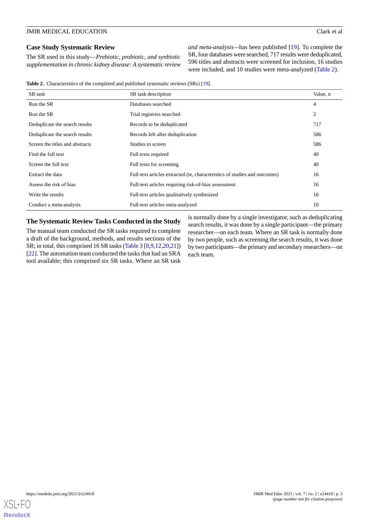## **Case Study Systematic Review**

The SR used in this study—*Prebiotic, probiotic, and synbiotic supplementation in chronic kidney disease: A systematic review*

*and meta-analysis—*has been published [\[19](#page-9-18)]. To complete the SR, four databases were searched, 717 results were deduplicated, 596 titles and abstracts were screened for inclusion, 16 studies were included, and 10 studies were meta-analyzed ([Table 2](#page-2-0)).

<span id="page-2-0"></span>Table 2. Characteristics of the completed and published systematic reviews (SRs) [\[19\]](#page-9-18).

| SR task                         | SR task description                                                        | Value, n       |
|---------------------------------|----------------------------------------------------------------------------|----------------|
| Run the SR                      | Databases searched                                                         | $\overline{4}$ |
| Run the SR                      | Trial registries searched                                                  | 2              |
| Deduplicate the search results  | Records to be deduplicated                                                 | 717            |
| Deduplicate the search results  | Records left after deduplication                                           | 586            |
| Screen the titles and abstracts | Studies to screen                                                          | 586            |
| Find the full text              | Full texts required                                                        | 40             |
| Screen the full text            | Full texts for screening                                                   | 40             |
| Extract the data                | Full-text articles extracted (ie, characteristics of studies and outcomes) | 16             |
| Assess the risk of bias         | Full-text articles requiring risk-of-bias assessment                       | 16             |
| Write the results               | Full-text articles qualitatively synthesized                               | 16             |
| Conduct a meta-analysis         | Full-text articles meta-analyzed                                           | 10             |

# **The Systematic Review Tasks Conducted in the Study**

The manual team conducted the SR tasks required to complete a draft of the background, methods, and results sections of the SR; in total, this comprised 16 SR tasks ([Table 3](#page-3-0) [[8](#page-9-7)[,9](#page-9-8)[,12](#page-9-11),[20,](#page-9-19)[21](#page-9-20)]) [[22\]](#page-10-0). The automation team conducted the tasks that had an SRA tool available; this comprised six SR tasks. Where an SR task

is normally done by a single investigator, such as deduplicating search results, it was done by a single participant—the primary researcher—on each team. Where an SR task is normally done by two people, such as screening the search results, it was done by two participants—the primary and secondary researchers—on each team.

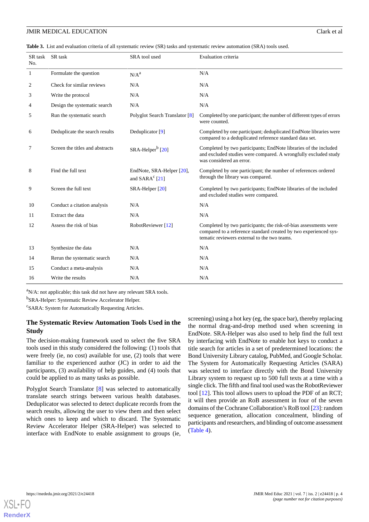<span id="page-3-0"></span>**Table 3.** List and evaluation criteria of all systematic review (SR) tasks and systematic review automation (SRA) tools used.

| SR task<br>No. | SR task                         | SRA tool used                                           | Evaluation criteria                                                                                                                                                                  |
|----------------|---------------------------------|---------------------------------------------------------|--------------------------------------------------------------------------------------------------------------------------------------------------------------------------------------|
| 1              | Formulate the question          | N/A <sup>a</sup>                                        | N/A                                                                                                                                                                                  |
| 2              | Check for similar reviews       | N/A                                                     | N/A                                                                                                                                                                                  |
| 3              | Write the protocol              | N/A                                                     | N/A                                                                                                                                                                                  |
| 4              | Design the systematic search    | N/A                                                     | N/A                                                                                                                                                                                  |
| 5              | Run the systematic search       | Polyglot Search Translator [8]                          | Completed by one participant; the number of different types of errors<br>were counted.                                                                                               |
| 6              | Deduplicate the search results  | Deduplicator [9]                                        | Completed by one participant; deduplicated EndNote libraries were<br>compared to a deduplicated reference standard data set.                                                         |
| 7              | Screen the titles and abstracts | SRA-Helper <sup>b</sup> [20]                            | Completed by two participants; EndNote libraries of the included<br>and excluded studies were compared. A wrongfully excluded study<br>was considered an error.                      |
| 8              | Find the full text              | EndNote, SRA-Helper [20],<br>and SARA <sup>c</sup> [21] | Completed by one participant; the number of references ordered<br>through the library was compared.                                                                                  |
| 9              | Screen the full text            | SRA-Helper [20]                                         | Completed by two participants; EndNote libraries of the included<br>and excluded studies were compared.                                                                              |
| 10             | Conduct a citation analysis     | N/A                                                     | N/A                                                                                                                                                                                  |
| 11             | Extract the data                | N/A                                                     | N/A                                                                                                                                                                                  |
| 12             | Assess the risk of bias         | RobotReviewer [12]                                      | Completed by two participants; the risk-of-bias assessments were<br>compared to a reference standard created by two experienced sys-<br>tematic reviewers external to the two teams. |
| 13             | Synthesize the data             | N/A                                                     | N/A                                                                                                                                                                                  |
| 14             | Rerun the systematic search     | N/A                                                     | N/A                                                                                                                                                                                  |
| 15             | Conduct a meta-analysis         | N/A                                                     | N/A                                                                                                                                                                                  |
| 16             | Write the results               | N/A                                                     | N/A                                                                                                                                                                                  |

<sup>a</sup>N/A: not applicable; this task did not have any relevant SRA tools.

<sup>b</sup>SRA-Helper: Systematic Review Accelerator Helper.

<sup>c</sup>SARA: System for Automatically Requesting Articles.

# **The Systematic Review Automation Tools Used in the Study**

The decision-making framework used to select the five SRA tools used in this study considered the following: (1) tools that were freely (ie, no cost) available for use, (2) tools that were familiar to the experienced author (JC) in order to aid the participants, (3) availability of help guides, and (4) tools that could be applied to as many tasks as possible.

Polyglot Search Translator [[8\]](#page-9-7) was selected to automatically translate search strings between various health databases. Deduplicator was selected to detect duplicate records from the search results, allowing the user to view them and then select which ones to keep and which to discard. The Systematic Review Accelerator Helper (SRA-Helper) was selected to interface with EndNote to enable assignment to groups (ie,

screening) using a hot key (eg, the space bar), thereby replacing the normal drag-and-drop method used when screening in EndNote. SRA-Helper was also used to help find the full text by interfacing with EndNote to enable hot keys to conduct a title search for articles in a set of predetermined locations: the Bond University Library catalog, PubMed, and Google Scholar. The System for Automatically Requesting Articles (SARA) was selected to interface directly with the Bond University Library system to request up to 500 full texts at a time with a single click. The fifth and final tool used was the RobotReviewer tool [[12\]](#page-9-11). This tool allows users to upload the PDF of an RCT; it will then provide an RoB assessment in four of the seven domains of the Cochrane Collaboration's RoB tool [\[23\]](#page-10-1): random sequence generation, allocation concealment, blinding of participants and researchers, and blinding of outcome assessment ([Table 4](#page-4-0)).

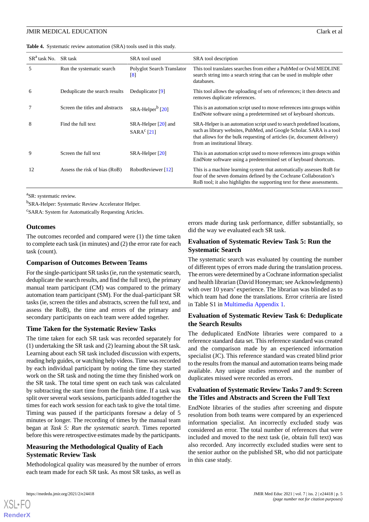<span id="page-4-0"></span>

|  |  |  | Table 4. Systematic review automation (SRA) tools used in this study. |  |
|--|--|--|-----------------------------------------------------------------------|--|
|--|--|--|-----------------------------------------------------------------------|--|

| $SRa$ task No. | SR task                         | SRA tool used                                   | SRA tool description                                                                                                                                                                                                                                         |
|----------------|---------------------------------|-------------------------------------------------|--------------------------------------------------------------------------------------------------------------------------------------------------------------------------------------------------------------------------------------------------------------|
| 5              | Run the systematic search       | Polyglot Search Translator<br>$\lceil 8 \rceil$ | This tool translates searches from either a PubMed or Ovid MEDLINE<br>search string into a search string that can be used in multiple other<br>databases.                                                                                                    |
| 6              | Deduplicate the search results  | Deduplicator [9]                                | This tool allows the uploading of sets of references; it then detects and<br>removes duplicate references.                                                                                                                                                   |
| 7              | Screen the titles and abstracts | $SRA-Helperb$ [20]                              | This is an automation script used to move references into groups within<br>EndNote software using a predetermined set of keyboard shortcuts.                                                                                                                 |
| 8              | Find the full text              | $SRA-Helper [20]$ and<br>SARA <sup>c</sup> [21] | SRA-Helper is an automation script used to search predefined locations,<br>such as library websites, PubMed, and Google Scholar. SARA is a tool<br>that allows for the bulk requesting of articles (ie, document delivery)<br>from an institutional library. |
| 9              | Screen the full text            | $SRA-Helper [20]$                               | This is an automation script used to move references into groups within<br>EndNote software using a predetermined set of keyboard shortcuts.                                                                                                                 |
| 12             | Assess the risk of bias (RoB)   | RobotReviewer [12]                              | This is a machine learning system that automatically assesses RoB for<br>four of the seven domains defined by the Cochrane Collaboration's<br>RoB tool; it also highlights the supporting text for these assessments.                                        |

<sup>a</sup>SR: systematic review.

<sup>b</sup>SRA-Helper: Systematic Review Accelerator Helper.

<sup>c</sup>SARA: System for Automatically Requesting Articles.

## **Outcomes**

The outcomes recorded and compared were (1) the time taken to complete each task (in minutes) and (2) the error rate for each task (count).

# **Comparison of Outcomes Between Teams**

For the single-participant SR tasks (ie, run the systematic search, deduplicate the search results, and find the full text), the primary manual team participant (CM) was compared to the primary automation team participant (SM). For the dual-participant SR tasks (ie, screen the titles and abstracts, screen the full text, and assess the RoB), the time and errors of the primary and secondary participants on each team were added together.

# **Time Taken for the Systematic Review Tasks**

The time taken for each SR task was recorded separately for (1) undertaking the SR task and (2) learning about the SR task. Learning about each SR task included discussion with experts, reading help guides, or watching help videos. Time was recorded by each individual participant by noting the time they started work on the SR task and noting the time they finished work on the SR task. The total time spent on each task was calculated by subtracting the start time from the finish time. If a task was split over several work sessions, participants added together the times for each work session for each task to give the total time. Timing was paused if the participants foresaw a delay of 5 minutes or longer. The recording of times by the manual team began at *Task 5: Run the systematic search.* Times reported before this were retrospective estimates made by the participants.

# **Measuring the Methodological Quality of Each Systematic Review Task**

Methodological quality was measured by the number of errors each team made for each SR task. As most SR tasks, as well as errors made during task performance, differ substantially, so did the way we evaluated each SR task.

# **Evaluation of Systematic Review Task 5: Run the Systematic Search**

The systematic search was evaluated by counting the number of different types of errors made during the translation process. The errors were determined by a Cochrane information specialist and health librarian (David Honeyman; see Acknowledgments) with over 10 years' experience. The librarian was blinded as to which team had done the translations. Error criteria are listed in Table S1 in [Multimedia Appendix 1.](#page-8-0)

# **Evaluation of Systematic Review Task 6: Deduplicate the Search Results**

The deduplicated EndNote libraries were compared to a reference standard data set. This reference standard was created and the comparison made by an experienced information specialist (JC). This reference standard was created blind prior to the results from the manual and automation teams being made available. Any unique studies removed and the number of duplicates missed were recorded as errors.

# **Evaluation of Systematic Review Tasks 7 and 9: Screen the Titles and Abstracts and Screen the Full Text**

EndNote libraries of the studies after screening and dispute resolution from both teams were compared by an experienced information specialist. An incorrectly excluded study was considered an error. The total number of references that were included and moved to the next task (ie, obtain full text) was also recorded. Any incorrectly excluded studies were sent to the senior author on the published SR, who did not participate in this case study.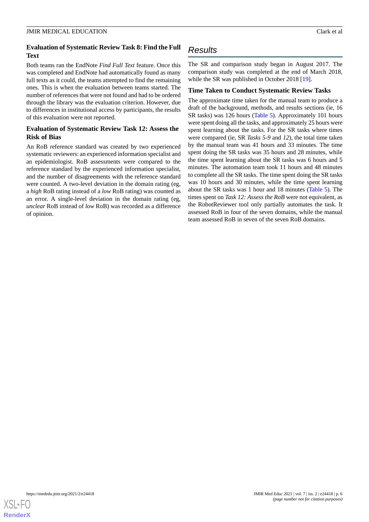# **Evaluation of Systematic Review Task 8: Find the Full Text**

Both teams ran the EndNote *Find Full Text* feature. Once this was completed and EndNote had automatically found as many full texts as it could, the teams attempted to find the remaining ones. This is when the evaluation between teams started. The number of references that were not found and had to be ordered through the library was the evaluation criterion. However, due to differences in institutional access by participants, the results of this evaluation were not reported.

# **Evaluation of Systematic Review Task 12: Assess the Risk of Bias**

An RoB reference standard was created by two experienced systematic reviewers: an experienced information specialist and an epidemiologist. RoB assessments were compared to the reference standard by the experienced information specialist, and the number of disagreements with the reference standard were counted. A two-level deviation in the domain rating (eg, a *high* RoB rating instead of a *low* RoB rating) was counted as an error. A single-level deviation in the domain rating (eg, *unclear* RoB instead of *low* RoB) was recorded as a difference of opinion.

# *Results*

The SR and comparison study began in August 2017. The comparison study was completed at the end of March 2018, while the SR was published in October 2018 [[19\]](#page-9-18).

# **Time Taken to Conduct Systematic Review Tasks**

The approximate time taken for the manual team to produce a draft of the background, methods, and results sections (ie, 16 SR tasks) was 126 hours [\(Table 5](#page-6-0)). Approximately 101 hours were spent doing all the tasks, and approximately 25 hours were spent learning about the tasks. For the SR tasks where times were compared (ie, SR *Tasks 5-9* and *12*), the total time taken by the manual team was 41 hours and 33 minutes. The time spent doing the SR tasks was 35 hours and 28 minutes, while the time spent learning about the SR tasks was 6 hours and 5 minutes. The automation team took 11 hours and 48 minutes to complete all the SR tasks. The time spent doing the SR tasks was 10 hours and 30 minutes, while the time spent learning about the SR tasks was 1 hour and 18 minutes [\(Table 5](#page-6-0)). The times spent on *Task 12: Assess the RoB* were not equivalent, as the RobotReviewer tool only partially automates the task. It assessed RoB in four of the seven domains, while the manual team assessed RoB in seven of the seven RoB domains.

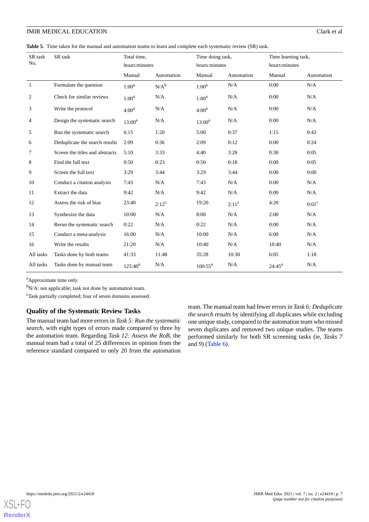<span id="page-6-0"></span>**Table 5.** Time taken for the manual and automation teams to learn and complete each systematic review (SR) task.

| SR task<br>No.   | SR task                         | Total time,<br>hours:minutes |            | Time doing task,<br>hours:minutes |            | Time learning task,<br>hours:minutes |                   |
|------------------|---------------------------------|------------------------------|------------|-----------------------------------|------------|--------------------------------------|-------------------|
|                  |                                 | Manual                       | Automation | Manual                            | Automation | Manual                               | Automation        |
| $\mathbf{1}$     | Formulate the question          | $1:00^a$                     | $N/A^b$    | $1:00^a$                          | N/A        | 0:00                                 | N/A               |
| $\boldsymbol{2}$ | Check for similar reviews       | $1:00^a$                     | N/A        | $1:00^a$                          | N/A        | 0:00                                 | N/A               |
| 3                | Write the protocol              | $4:00^a$                     | N/A        | $4:00^a$                          | N/A        | 0:00                                 | N/A               |
| 4                | Design the systematic search    | $13:00^a$                    | N/A        | $13:00^a$                         | N/A        | 0:00                                 | N/A               |
| 5                | Run the systematic search       | 6:15                         | 1:20       | 5:00                              | 0:37       | 1:15                                 | 0:43              |
| 6                | Deduplicate the search results  | 2:09                         | 0:36       | 2:09                              | 0:12       | 0:00                                 | 0:24              |
| 7                | Screen the titles and abstracts | 5:10                         | 3:33       | 4:40                              | 3:28       | 0:30                                 | 0:05              |
| 8                | Find the full text              | 0:50                         | 0:23       | 0:50                              | 0:18       | 0:00                                 | 0:05              |
| 9                | Screen the full text            | 3:29                         | 3:44       | 3:29                              | 3:44       | 0:00                                 | 0:00              |
| 10               | Conduct a citation analysis     | 7:43                         | N/A        | 7:43                              | N/A        | 0:00                                 | N/A               |
| 11               | Extract the data                | 9:42                         | N/A        | 9:42                              | N/A        | 0:00                                 | N/A               |
| 12               | Assess the risk of bias         | 23:40                        | $2:12^c$   | 19:20                             | $2:11^c$   | 4:20                                 | 0:01 <sup>c</sup> |
| 13               | Synthesize the data             | 10:00                        | N/A        | 8:00                              | N/A        | 2:00                                 | N/A               |
| 14               | Rerun the systematic search     | 0:22                         | N/A        | 0:22                              | N/A        | 0:00                                 | N/A               |
| 15               | Conduct a meta-analysis         | 16:00                        | N/A        | 10:00                             | N/A        | 6:00                                 | N/A               |
| 16               | Write the results               | 21:20                        | N/A        | 10:40                             | N/A        | 10:40                                | N/A               |
| All tasks        | Tasks done by both teams        | 41:33                        | 11:48      | 35:28                             | 10:30      | 6:05                                 | 1:18              |
| All tasks        | Tasks done by manual team       | $125:40^{a}$                 | N/A        | $100:55^a$                        | N/A        | $24:45^a$                            | N/A               |

<sup>a</sup>Approximate time only.

 $bN/A$ : not applicable; task not done by automation team.

<sup>c</sup>Task partially completed; four of seven domains assessed.

## **Quality of the Systematic Review Tasks**

The manual team had more errors in *Task 5: Run the systematic search,* with eight types of errors made compared to three by the automation team. Regarding *Task 12: Assess the RoB*, the manual team had a total of 25 differences in opinion from the reference standard compared to only 20 from the automation

team. The manual team had fewer errors in *Task 6: Deduplicate the search results* by identifying all duplicates while excluding one unique study, compared to the automation team who missed seven duplicates and removed two unique studies. The teams performed similarly for both SR screening tasks (ie, *Tasks 7* and *9*) ([Table 6](#page-7-0)).

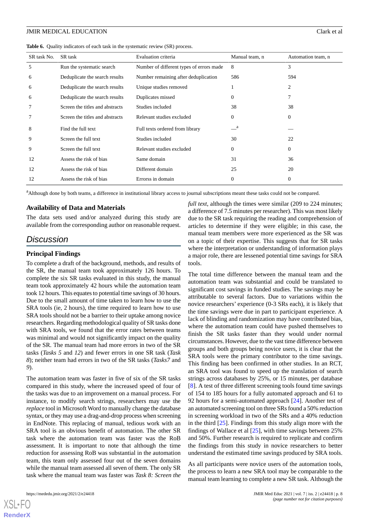<span id="page-7-0"></span>

|  |  |  |  | Table 6. Quality indicators of each task in the systematic review (SR) process. |
|--|--|--|--|---------------------------------------------------------------------------------|
|--|--|--|--|---------------------------------------------------------------------------------|

| SR task No. | SR task                         | Evaluation criteria                      | Manual team, n   | Automation team, n |
|-------------|---------------------------------|------------------------------------------|------------------|--------------------|
| 5           | Run the systematic search       | Number of different types of errors made | 8                | 3                  |
| 6           | Deduplicate the search results  | Number remaining after deduplication     | 586              | 594                |
| 6           | Deduplicate the search results  | Unique studies removed                   | 1                | 2                  |
| 6           | Deduplicate the search results  | Duplicates missed                        | $\boldsymbol{0}$ | 7                  |
| 7           | Screen the titles and abstracts | Studies included                         | 38               | 38                 |
| 7           | Screen the titles and abstracts | Relevant studies excluded                | $\theta$         | $\theta$           |
| 8           | Find the full text              | Full texts ordered from library          | $-{}^a$          |                    |
| 9           | Screen the full text            | Studies included                         | 30               | 22                 |
| 9           | Screen the full text            | Relevant studies excluded                | $\theta$         | $\theta$           |
| 12          | Assess the risk of bias         | Same domain                              | 31               | 36                 |
| 12          | Assess the risk of bias         | Different domain                         | 25               | 20                 |
| 12          | Assess the risk of bias         | Errorss in domain                        | $\theta$         | $\overline{0}$     |

<sup>a</sup>Although done by both teams, a difference in institutional library access to journal subscriptions meant these tasks could not be compared.

## **Availability of Data and Materials**

The data sets used and/or analyzed during this study are available from the corresponding author on reasonable request.

# *Discussion*

## **Principal Findings**

To complete a draft of the background, methods, and results of the SR, the manual team took approximately 126 hours. To complete the six SR tasks evaluated in this study, the manual team took approximately 42 hours while the automation team took 12 hours. This equates to potential time savings of 30 hours. Due to the small amount of time taken to learn how to use the SRA tools (ie, 2 hours), the time required to learn how to use SRA tools should not be a barrier to their uptake among novice researchers. Regarding methodological quality of SR tasks done with SRA tools, we found that the error rates between teams was minimal and would not significantly impact on the quality of the SR. The manual team had more errors in two of the SR tasks (*Tasks 5* and *12*) and fewer errors in one SR task (*Task 8*); neither team had errors in two of the SR tasks (*Tasks7* and *9*).

The automation team was faster in five of six of the SR tasks compared in this study, where the increased speed of four of the tasks was due to an improvement on a manual process. For instance, to modify search strings, researchers may use the *replace* tool in Microsoft Word to manually change the database syntax, or they may use a drag-and-drop process when screening in EndNote. This replacing of manual, tedious work with an SRA tool is an obvious benefit of automation. The other SR task where the automation team was faster was the RoB assessment. It is important to note that although the time reduction for assessing RoB was substantial in the automation team, this team only assessed four out of the seven domains while the manual team assessed all seven of them. The only SR task where the manual team was faster was *Task 8: Screen the*

[XSL](http://www.w3.org/Style/XSL)•FO **[RenderX](http://www.renderx.com/)**

*full text*, although the times were similar (209 to 224 minutes; a difference of 7.5 minutes per researcher). This was most likely due to the SR task requiring the reading and comprehension of articles to determine if they were eligible; in this case, the manual team members were more experienced as the SR was on a topic of their expertise. This suggests that for SR tasks where the interpretation or understanding of information plays a major role, there are lessened potential time savings for SRA tools.

The total time difference between the manual team and the automation team was substantial and could be translated to significant cost savings in funded studies. The savings may be attributable to several factors. Due to variations within the novice researchers' experience (0-3 SRs each), it is likely that the time savings were due in part to participant experience. A lack of blinding and randomization may have contributed bias, where the automation team could have pushed themselves to finish the SR tasks faster than they would under normal circumstances. However, due to the vast time difference between groups and both groups being novice users, it is clear that the SRA tools were the primary contributor to the time savings. This finding has been confirmed in other studies. In an RCT, an SRA tool was found to speed up the translation of search strings across databases by 25%, or 15 minutes, per database [[8\]](#page-9-7). A test of three different screening tools found time savings of 154 to 185 hours for a fully automated approach and 61 to 92 hours for a semi-automated approach [\[24](#page-10-2)]. Another test of an automated screening tool on three SRs found a 50% reduction in screening workload in two of the SRs and a 40% reduction in the third [\[25](#page-10-3)]. Findings from this study align more with the findings of Wallace et al [\[25](#page-10-3)], with time savings between 25% and 50%. Further research is required to replicate and confirm the findings from this study in novice researchers to better understand the estimated time savings produced by SRA tools.

As all participants were novice users of the automation tools, the process to learn a new SRA tool may be comparable to the manual team learning to complete a new SR task. Although the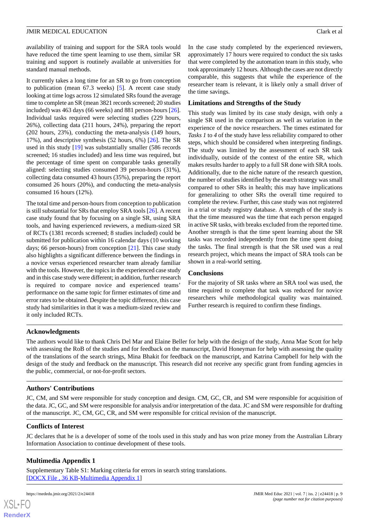availability of training and support for the SRA tools would have reduced the time spent learning to use them, similar SR training and support is routinely available at universities for standard manual methods.

It currently takes a long time for an SR to go from conception to publication (mean 67.3 weeks) [\[5](#page-9-4)]. A recent case study looking at time logs across 12 simulated SRs found the average time to complete an SR (mean 3821 records screened; 20 studies included) was 463 days (66 weeks) and 881 person-hours [[26\]](#page-10-4). Individual tasks required were selecting studies (229 hours, 26%), collecting data (211 hours, 24%), preparing the report (202 hours, 23%), conducting the meta-analysis (149 hours, 17%), and descriptive synthesis (52 hours, 6%) [[26\]](#page-10-4). The SR used in this study [\[19](#page-9-18)] was substantially smaller (586 records screened; 16 studies included) and less time was required, but the percentage of time spent on comparable tasks generally aligned: selecting studies consumed 39 person-hours (31%), collecting data consumed 43 hours (35%), preparing the report consumed 26 hours (20%), and conducting the meta-analysis consumed 16 hours (12%).

The total time and person-hours from conception to publication is still substantial for SRs that employ SRA tools [\[26](#page-10-4)]. A recent case study found that by focusing on a single SR, using SRA tools, and having experienced reviewers, a medium-sized SR of RCTs (1381 records screened; 8 studies included) could be submitted for publication within 16 calendar days (10 working days; 66 person-hours) from conception [\[21](#page-9-20)]. This case study also highlights a significant difference between the findings in a novice versus experienced researcher team already familiar with the tools. However, the topics in the experienced case study and in this case study were different; in addition, further research is required to compare novice and experienced teams' performance on the same topic for firmer estimates of time and error rates to be obtained. Despite the topic difference, this case study had similarities in that it was a medium-sized review and it only included RCTs.

In the case study completed by the experienced reviewers, approximately 17 hours were required to conduct the six tasks that were completed by the automation team in this study, who took approximately 12 hours. Although the cases are not directly comparable, this suggests that while the experience of the researcher team is relevant, it is likely only a small driver of the time savings.

# **Limitations and Strengths of the Study**

This study was limited by its case study design, with only a single SR used in the comparison as well as variation in the experience of the novice researchers. The times estimated for *Tasks 1* to *4* of the study have less reliability compared to other steps, which should be considered when interpreting findings. The study was limited by the assessment of each SR task individually, outside of the context of the entire SR, which makes results harder to apply to a full SR done with SRA tools. Additionally, due to the niche nature of the research question, the number of studies identified by the search strategy was small compared to other SRs in health; this may have implications for generalizing to other SRs the overall time required to complete the review. Further, this case study was not registered in a trial or study registry database. A strength of the study is that the time measured was the time that each person engaged in active SR tasks, with breaks excluded from the reported time. Another strength is that the time spent learning about the SR tasks was recorded independently from the time spent doing the tasks. The final strength is that the SR used was a real research project, which means the impact of SRA tools can be shown in a real-world setting.

# **Conclusions**

For the majority of SR tasks where an SRA tool was used, the time required to complete that task was reduced for novice researchers while methodological quality was maintained. Further research is required to confirm these findings.

# **Acknowledgments**

The authors would like to thank Chris Del Mar and Elaine Beller for help with the design of the study, Anna Mae Scott for help with assessing the RoB of the studies and for feedback on the manuscript, David Honeyman for help with assessing the quality of the translations of the search strings, Mina Bhakit for feedback on the manuscript, and Katrina Campbell for help with the design of the study and feedback on the manuscript. This research did not receive any specific grant from funding agencies in the public, commercial, or not-for-profit sectors.

# **Authors' Contributions**

JC, CM, and SM were responsible for study conception and design. CM, GC, CR, and SM were responsible for acquisition of the data. JC, GC, and SM were responsible for analysis and/or interpretation of the data. JC and SM were responsible for drafting of the manuscript. JC, CM, GC, CR, and SM were responsible for critical revision of the manuscript.

# <span id="page-8-0"></span>**Conflicts of Interest**

JC declares that he is a developer of some of the tools used in this study and has won prize money from the Australian Library Information Association to continue development of these tools.

# **Multimedia Appendix 1**

Supplementary Table S1: Marking criteria for errors in search string translations. [[DOCX File , 36 KB](https://jmir.org/api/download?alt_name=mededu_v7i2e24418_app1.docx&filename=00c2d1fc1c91b335851e27859de60d32.docx)-[Multimedia Appendix 1\]](https://jmir.org/api/download?alt_name=mededu_v7i2e24418_app1.docx&filename=00c2d1fc1c91b335851e27859de60d32.docx)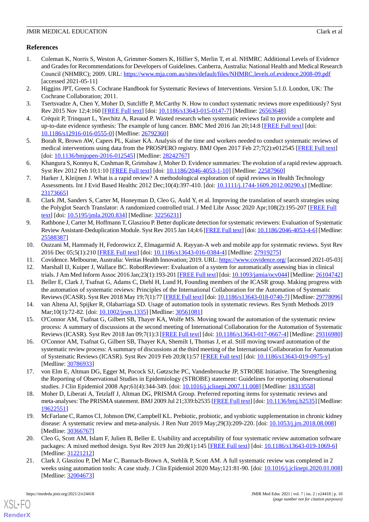# **References**

- <span id="page-9-0"></span>1. Coleman K, Norris S, Weston A, Grimmer-Somers K, Hillier S, Merlin T, et al. NHMRC Additional Levels of Evidence and Grades for Recommendations for Developers of Guidelines. Canberra, Australia: National Health and Medical Research Council (NHMRC); 2009. URL: <https://www.mja.com.au/sites/default/files/NHMRC.levels.of.evidence.2008-09.pdf> [accessed 2021-05-11]
- <span id="page-9-2"></span><span id="page-9-1"></span>2. Higgins JPT, Green S. Cochrane Handbook for Systematic Reviews of Interventions. Version 5.1.0. London, UK: The Cochrane Collaboration; 2011.
- <span id="page-9-3"></span>3. Tsertsvadze A, Chen Y, Moher D, Sutcliffe P, McCarthy N. How to conduct systematic reviews more expeditiously? Syst Rev 2015 Nov 12;4:160 [\[FREE Full text\]](https://systematicreviewsjournal.biomedcentral.com/articles/10.1186/s13643-015-0147-7) [doi: [10.1186/s13643-015-0147-7](http://dx.doi.org/10.1186/s13643-015-0147-7)] [Medline: [26563648\]](http://www.ncbi.nlm.nih.gov/entrez/query.fcgi?cmd=Retrieve&db=PubMed&list_uids=26563648&dopt=Abstract)
- <span id="page-9-4"></span>4. Créquit P, Trinquart L, Yavchitz A, Ravaud P. Wasted research when systematic reviews fail to provide a complete and up-to-date evidence synthesis: The example of lung cancer. BMC Med 2016 Jan 20;14:8 [\[FREE Full text](https://bmcmedicine.biomedcentral.com/articles/10.1186/s12916-016-0555-0)] [doi: [10.1186/s12916-016-0555-0\]](http://dx.doi.org/10.1186/s12916-016-0555-0) [Medline: [26792360](http://www.ncbi.nlm.nih.gov/entrez/query.fcgi?cmd=Retrieve&db=PubMed&list_uids=26792360&dopt=Abstract)]
- <span id="page-9-5"></span>5. Borah R, Brown AW, Capers PL, Kaiser KA. Analysis of the time and workers needed to conduct systematic reviews of medical interventions using data from the PROSPERO registry. BMJ Open 2017 Feb 27;7(2):e012545 [[FREE Full text](https://bmjopen.bmj.com/lookup/pmidlookup?view=long&pmid=28242767)] [doi: [10.1136/bmjopen-2016-012545\]](http://dx.doi.org/10.1136/bmjopen-2016-012545) [Medline: [28242767\]](http://www.ncbi.nlm.nih.gov/entrez/query.fcgi?cmd=Retrieve&db=PubMed&list_uids=28242767&dopt=Abstract)
- <span id="page-9-6"></span>6. Khangura S, Konnyu K, Cushman R, Grimshaw J, Moher D. Evidence summaries: The evolution of a rapid review approach. Syst Rev 2012 Feb 10;1:10 [\[FREE Full text](https://systematicreviewsjournal.biomedcentral.com/articles/10.1186/2046-4053-1-10)] [doi: [10.1186/2046-4053-1-10\]](http://dx.doi.org/10.1186/2046-4053-1-10) [Medline: [22587960\]](http://www.ncbi.nlm.nih.gov/entrez/query.fcgi?cmd=Retrieve&db=PubMed&list_uids=22587960&dopt=Abstract)
- <span id="page-9-7"></span>7. Harker J, Kleijnen J. What is a rapid review? A methodological exploration of rapid reviews in Health Technology Assessments. Int J Evid Based Healthc 2012 Dec;10(4):397-410. [doi: [10.1111/j.1744-1609.2012.00290.x\]](http://dx.doi.org/10.1111/j.1744-1609.2012.00290.x) [Medline: [23173665](http://www.ncbi.nlm.nih.gov/entrez/query.fcgi?cmd=Retrieve&db=PubMed&list_uids=23173665&dopt=Abstract)]
- <span id="page-9-8"></span>8. Clark JM, Sanders S, Carter M, Honeyman D, Cleo G, Auld Y, et al. Improving the translation of search strategies using the Polyglot Search Translator: A randomized controlled trial. J Med Libr Assoc 2020 Apr;108(2):195-207 [\[FREE Full](http://europepmc.org/abstract/MED/32256231) [text](http://europepmc.org/abstract/MED/32256231)] [doi: [10.5195/jmla.2020.834\]](http://dx.doi.org/10.5195/jmla.2020.834) [Medline: [32256231](http://www.ncbi.nlm.nih.gov/entrez/query.fcgi?cmd=Retrieve&db=PubMed&list_uids=32256231&dopt=Abstract)]
- <span id="page-9-9"></span>9. Rathbone J, Carter M, Hoffmann T, Glasziou P. Better duplicate detection for systematic reviewers: Evaluation of Systematic Review Assistant-Deduplication Module. Syst Rev 2015 Jan 14;4:6 [\[FREE Full text](https://systematicreviewsjournal.biomedcentral.com/articles/10.1186/2046-4053-4-6)] [doi: [10.1186/2046-4053-4-6\]](http://dx.doi.org/10.1186/2046-4053-4-6) [Medline: [25588387](http://www.ncbi.nlm.nih.gov/entrez/query.fcgi?cmd=Retrieve&db=PubMed&list_uids=25588387&dopt=Abstract)]
- <span id="page-9-11"></span><span id="page-9-10"></span>10. Ouzzani M, Hammady H, Fedorowicz Z, Elmagarmid A. Rayyan-A web and mobile app for systematic reviews. Syst Rev 2016 Dec 05;5(1):210 [[FREE Full text](https://systematicreviewsjournal.biomedcentral.com/articles/10.1186/s13643-016-0384-4)] [doi: [10.1186/s13643-016-0384-4](http://dx.doi.org/10.1186/s13643-016-0384-4)] [Medline: [27919275](http://www.ncbi.nlm.nih.gov/entrez/query.fcgi?cmd=Retrieve&db=PubMed&list_uids=27919275&dopt=Abstract)]
- <span id="page-9-12"></span>11. Covidence. Melbourne, Australia: Veritas Health Innovation; 2019. URL:<https://www.covidence.org/> [accessed 2021-05-03]
- 12. Marshall IJ, Kuiper J, Wallace BC. RobotReviewer: Evaluation of a system for automatically assessing bias in clinical trials. J Am Med Inform Assoc 2016 Jan;23(1):193-201 [[FREE Full text](http://europepmc.org/abstract/MED/26104742)] [doi: [10.1093/jamia/ocv044\]](http://dx.doi.org/10.1093/jamia/ocv044) [Medline: [26104742\]](http://www.ncbi.nlm.nih.gov/entrez/query.fcgi?cmd=Retrieve&db=PubMed&list_uids=26104742&dopt=Abstract)
- <span id="page-9-14"></span><span id="page-9-13"></span>13. Beller E, Clark J, Tsafnat G, Adams C, Diehl H, Lund H, Founding members of the ICASR group. Making progress with the automation of systematic reviews: Principles of the International Collaboration for the Automation of Systematic Reviews (ICASR). Syst Rev 2018 May 19;7(1):77 [\[FREE Full text\]](https://systematicreviewsjournal.biomedcentral.com/articles/10.1186/s13643-018-0740-7) [doi: [10.1186/s13643-018-0740-7\]](http://dx.doi.org/10.1186/s13643-018-0740-7) [Medline: [29778096\]](http://www.ncbi.nlm.nih.gov/entrez/query.fcgi?cmd=Retrieve&db=PubMed&list_uids=29778096&dopt=Abstract)
- <span id="page-9-15"></span>14. van Altena AJ, Spijker R, Olabarriaga SD. Usage of automation tools in systematic reviews. Res Synth Methods 2019 Mar;10(1):72-82. [doi: [10.1002/jrsm.1335\]](http://dx.doi.org/10.1002/jrsm.1335) [Medline: [30561081\]](http://www.ncbi.nlm.nih.gov/entrez/query.fcgi?cmd=Retrieve&db=PubMed&list_uids=30561081&dopt=Abstract)
- 15. O'Connor AM, Tsafnat G, Gilbert SB, Thayer KA, Wolfe MS. Moving toward the automation of the systematic review process: A summary of discussions at the second meeting of International Collaboration for the Automation of Systematic Reviews (ICASR). Syst Rev 2018 Jan 09;7(1):3 [[FREE Full text](https://systematicreviewsjournal.biomedcentral.com/articles/10.1186/s13643-017-0667-4)] [doi: [10.1186/s13643-017-0667-4](http://dx.doi.org/10.1186/s13643-017-0667-4)] [Medline: [29316980](http://www.ncbi.nlm.nih.gov/entrez/query.fcgi?cmd=Retrieve&db=PubMed&list_uids=29316980&dopt=Abstract)]
- <span id="page-9-17"></span><span id="page-9-16"></span>16. O'Connor AM, Tsafnat G, Gilbert SB, Thayer KA, Shemilt I, Thomas J, et al. Still moving toward automation of the systematic review process: A summary of discussions at the third meeting of the International Collaboration for Automation of Systematic Reviews (ICASR). Syst Rev 2019 Feb 20;8(1):57 [\[FREE Full text\]](https://systematicreviewsjournal.biomedcentral.com/articles/10.1186/s13643-019-0975-y) [doi: [10.1186/s13643-019-0975-y](http://dx.doi.org/10.1186/s13643-019-0975-y)] [Medline: [30786933](http://www.ncbi.nlm.nih.gov/entrez/query.fcgi?cmd=Retrieve&db=PubMed&list_uids=30786933&dopt=Abstract)]
- <span id="page-9-18"></span>17. von Elm E, Altman DG, Egger M, Pocock SJ, Gøtzsche PC, Vandenbroucke JP, STROBE Initiative. The Strengthening the Reporting of Observational Studies in Epidemiology (STROBE) statement: Guidelines for reporting observational studies. J Clin Epidemiol 2008 Apr;61(4):344-349. [doi: [10.1016/j.jclinepi.2007.11.008\]](http://dx.doi.org/10.1016/j.jclinepi.2007.11.008) [Medline: [18313558](http://www.ncbi.nlm.nih.gov/entrez/query.fcgi?cmd=Retrieve&db=PubMed&list_uids=18313558&dopt=Abstract)]
- <span id="page-9-19"></span>18. Moher D, Liberati A, Tetzlaff J, Altman DG, PRISMA Group. Preferred reporting items for systematic reviews and meta-analyses: The PRISMA statement. BMJ 2009 Jul 21;339:b2535 [[FREE Full text\]](http://www.bmj.com/lookup/pmidlookup?view=long&pmid=19622551) [doi: [10.1136/bmj.b2535](http://dx.doi.org/10.1136/bmj.b2535)] [Medline: [19622551](http://www.ncbi.nlm.nih.gov/entrez/query.fcgi?cmd=Retrieve&db=PubMed&list_uids=19622551&dopt=Abstract)]
- <span id="page-9-20"></span>19. McFarlane C, Ramos CI, Johnson DW, Campbell KL. Prebiotic, probiotic, and synbiotic supplementation in chronic kidney disease: A systematic review and meta-analysis. J Ren Nutr 2019 May;29(3):209-220. [doi: [10.1053/j.jrn.2018.08.008](http://dx.doi.org/10.1053/j.jrn.2018.08.008)] [Medline: [30366767](http://www.ncbi.nlm.nih.gov/entrez/query.fcgi?cmd=Retrieve&db=PubMed&list_uids=30366767&dopt=Abstract)]
- 20. Cleo G, Scott AM, Islam F, Julien B, Beller E. Usability and acceptability of four systematic review automation software packages: A mixed method design. Syst Rev 2019 Jun 20;8(1):145 [\[FREE Full text\]](https://systematicreviewsjournal.biomedcentral.com/articles/10.1186/s13643-019-1069-6) [doi: [10.1186/s13643-019-1069-6\]](http://dx.doi.org/10.1186/s13643-019-1069-6) [Medline: [31221212](http://www.ncbi.nlm.nih.gov/entrez/query.fcgi?cmd=Retrieve&db=PubMed&list_uids=31221212&dopt=Abstract)]
- 21. Clark J, Glasziou P, Del Mar C, Bannach-Brown A, Stehlik P, Scott AM. A full systematic review was completed in 2 weeks using automation tools: A case study. J Clin Epidemiol 2020 May;121:81-90. [doi: [10.1016/j.jclinepi.2020.01.008](http://dx.doi.org/10.1016/j.jclinepi.2020.01.008)] [Medline: [32004673](http://www.ncbi.nlm.nih.gov/entrez/query.fcgi?cmd=Retrieve&db=PubMed&list_uids=32004673&dopt=Abstract)]